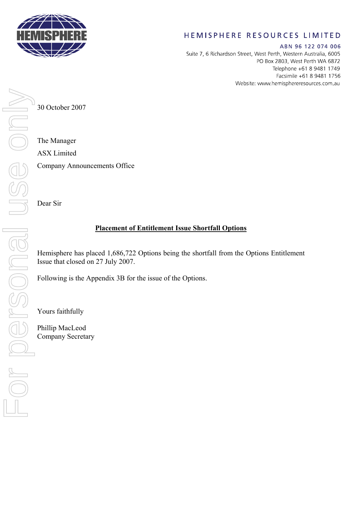

## HEMISPHERE RESOURCES LIMITED

ABN 96 122 074 006 Suite 7, 6 Richardson Street, West Perth, Western Australia, 6005 PO Box 2803, West Perth WA 6872 Telephone +61 8 9481 1749 Facsimile +61 8 9481 1756 Website: www.hemisphereresources.com.au

30 October 2007

The Manager ASX Limited

Company Announcements Office

Dear Sir

## **Placement of Entitlement Issue Shortfall Options**

Issue that closed on 27 July 2007.

Following is the Appendix 3B for the issue of the Options.

Yours faithfully

Phillip MacLeod Company Secretary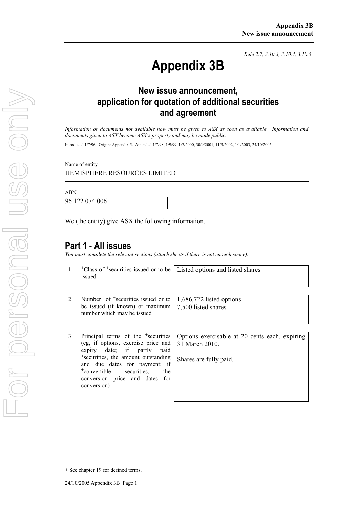*Rule 2.7, 3.10.3, 3.10.4, 3.10.5*

# **Appendix 3B**

# **New issue announcement, application for quotation of additional securities and agreement**

*Information or documents not available now must be given to ASX as soon as available. Information and documents given to ASX become ASX's property and may be made public.* 

Introduced 1/7/96. Origin: Appendix 5. Amended 1/7/98, 1/9/99, 1/7/2000, 30/9/2001, 11/3/2002, 1/1/2003, 24/10/2005.

Name of entity

HEMISPHERE RESOURCES LIMITED

ABN

96 122 074 006

We (the entity) give ASX the following information.

### **Part 1 - All issues**

*You must complete the relevant sections (attach sheets if there is not enough space).*

|                | <sup>+</sup> Class of <sup>+</sup> securities issued or to be<br>issued                                                                                                                                                                                                                                       | Listed options and listed shares                                                           |
|----------------|---------------------------------------------------------------------------------------------------------------------------------------------------------------------------------------------------------------------------------------------------------------------------------------------------------------|--------------------------------------------------------------------------------------------|
| $\overline{2}$ | Number of <sup>+</sup> securities issued or to<br>be issued (if known) or maximum<br>number which may be issued                                                                                                                                                                                               | 1,686,722 listed options<br>7,500 listed shares                                            |
| 3              | Principal terms of the <sup>+</sup> securities  <br>(eg, if options, exercise price and<br>expiry date; if partly paid<br><sup>+</sup> securities, the amount outstanding<br>and due dates for payment; if<br><sup>+</sup> convertible<br>securities.<br>the<br>conversion price and dates for<br>conversion) | Options exercisable at 20 cents each, expiring<br>31 March 2010.<br>Shares are fully paid. |

<sup>+</sup> See chapter 19 for defined terms.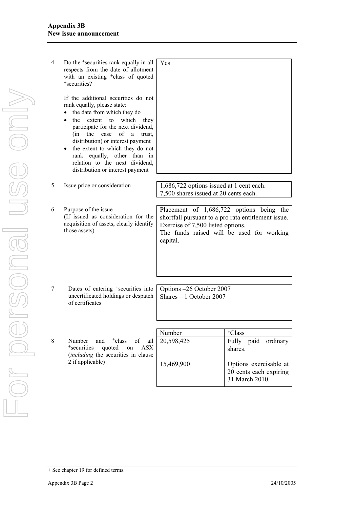| 4 | Do the <sup>+</sup> securities rank equally in all<br>respects from the date of allotment<br>with an existing <sup>+</sup> class of quoted<br><sup>+</sup> securities?<br>If the additional securities do not<br>rank equally, please state:<br>the date from which they do<br>$\bullet$<br>which<br>the<br>extent<br>to<br>they<br>$\bullet$<br>participate for the next dividend,<br>of<br>(in<br>the<br>case<br>trust.<br>a<br>distribution) or interest payment<br>the extent to which they do not<br>$\bullet$<br>rank equally, other than in<br>relation to the next dividend,<br>distribution or interest payment | Yes                                                                                                                                              |                                                                    |
|---|--------------------------------------------------------------------------------------------------------------------------------------------------------------------------------------------------------------------------------------------------------------------------------------------------------------------------------------------------------------------------------------------------------------------------------------------------------------------------------------------------------------------------------------------------------------------------------------------------------------------------|--------------------------------------------------------------------------------------------------------------------------------------------------|--------------------------------------------------------------------|
| 5 | Issue price or consideration                                                                                                                                                                                                                                                                                                                                                                                                                                                                                                                                                                                             | 1,686,722 options issued at 1 cent each.<br>7,500 shares issued at 20 cents each.                                                                |                                                                    |
| 6 | Purpose of the issue<br>(If issued as consideration for the<br>acquisition of assets, clearly identify<br>those assets)                                                                                                                                                                                                                                                                                                                                                                                                                                                                                                  | Placement of 1,686,722 options being the<br>shortfall pursuant to a pro rata entitlement issue.<br>Exercise of 7,500 listed options.<br>capital. | The funds raised will be used for working                          |
|   |                                                                                                                                                                                                                                                                                                                                                                                                                                                                                                                                                                                                                          |                                                                                                                                                  |                                                                    |
| 7 | Dates of entering <sup>+</sup> securities into<br>uncertificated holdings or despatch<br>of certificates                                                                                                                                                                                                                                                                                                                                                                                                                                                                                                                 | Options -26 October 2007<br>Shares $-1$ October 2007                                                                                             |                                                                    |
|   |                                                                                                                                                                                                                                                                                                                                                                                                                                                                                                                                                                                                                          |                                                                                                                                                  |                                                                    |
| 8 | Number<br><sup>+</sup> class<br>and<br>of<br>all<br><sup>+</sup> securities<br>quoted<br><b>ASX</b><br>on<br><i>(including the securities in clause</i>                                                                                                                                                                                                                                                                                                                                                                                                                                                                  | Number<br>20,598,425                                                                                                                             | <sup>+</sup> Class<br>Fully paid ordinary<br>shares.               |
|   | 2 if applicable)                                                                                                                                                                                                                                                                                                                                                                                                                                                                                                                                                                                                         | 15,469,900                                                                                                                                       | Options exercisable at<br>20 cents each expiring<br>31 March 2010. |

<sup>+</sup> See chapter 19 for defined terms.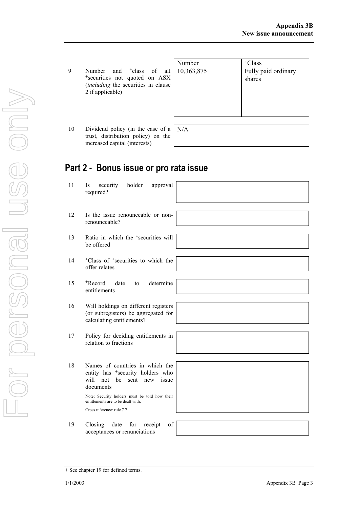|   |                                                                                                                                                     | Number | <sup>+</sup> Class            |
|---|-----------------------------------------------------------------------------------------------------------------------------------------------------|--------|-------------------------------|
| g | Number and <sup>+</sup> class of all 10,363,875<br>*securities not quoted on ASX<br><i>(including the securities in clause)</i><br>2 if applicable) |        | Fully paid ordinary<br>shares |
|   |                                                                                                                                                     |        |                               |

10 Dividend policy (in the case of a trust, distribution policy) on the increased capital (interests) N/A

# **Part 2 - Bonus issue or pro rata issue**

- 11 Is security holder approval required?
- 12 Is the issue renounceable or nonrenounceable?
- 13 Ratio in which the <sup>+</sup>securities will be offered
- 14 +Class of +securities to which the offer relates
- 15 +Record date to determine entitlements
- 16 Will holdings on different registers (or subregisters) be aggregated for calculating entitlements?
- 17 Policy for deciding entitlements in relation to fractions
- 18 Names of countries in which the entity has <sup>+</sup>security holders who will not be sent new issue documents

Note: Security holders must be told how their entitlements are to be dealt with. Cross reference: rule 7.7.

19 Closing date for receipt of acceptances or renunciations



|  |  | + See chapter 19 for defined terms. |  |  |  |  |
|--|--|-------------------------------------|--|--|--|--|
|--|--|-------------------------------------|--|--|--|--|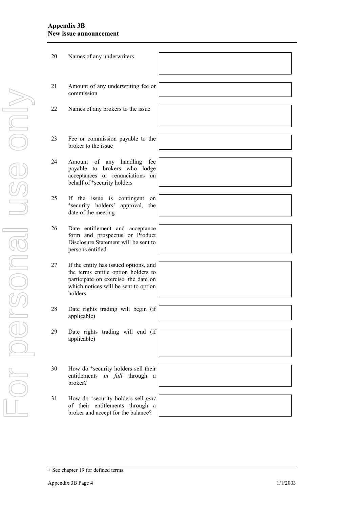#### **Appendix 3B New issue announcement**

| 20 | Names of any underwriters                                                                                                                                               |  |
|----|-------------------------------------------------------------------------------------------------------------------------------------------------------------------------|--|
| 21 | Amount of any underwriting fee or<br>commission                                                                                                                         |  |
|    |                                                                                                                                                                         |  |
| 22 | Names of any brokers to the issue                                                                                                                                       |  |
|    |                                                                                                                                                                         |  |
| 23 | Fee or commission payable to the<br>broker to the issue                                                                                                                 |  |
|    |                                                                                                                                                                         |  |
| 24 | Amount of any handling<br>fee<br>payable to brokers who lodge<br>acceptances or renunciations on<br>behalf of <sup>+</sup> security holders                             |  |
|    |                                                                                                                                                                         |  |
| 25 | If the issue is contingent<br>on<br>*security holders'<br>approval,<br>the<br>date of the meeting                                                                       |  |
|    |                                                                                                                                                                         |  |
| 26 | Date entitlement and acceptance<br>form and prospectus or Product<br>Disclosure Statement will be sent to<br>persons entitled                                           |  |
|    |                                                                                                                                                                         |  |
| 27 | If the entity has issued options, and<br>the terms entitle option holders to<br>participate on exercise, the date on<br>which notices will be sent to option<br>holders |  |
|    |                                                                                                                                                                         |  |
| 28 | Date rights trading will begin (if<br>applicable)                                                                                                                       |  |
|    |                                                                                                                                                                         |  |
| 29 | Date rights trading will end (if<br>applicable)                                                                                                                         |  |
|    |                                                                                                                                                                         |  |
| 30 | How do <sup>+</sup> security holders sell their<br>entitlements in full through<br>a<br>broker?                                                                         |  |
|    |                                                                                                                                                                         |  |
| 31 | How do <sup>+</sup> security holders sell part<br>of their entitlements through a<br>broker and accept for the balance?                                                 |  |

<sup>+</sup> See chapter 19 for defined terms.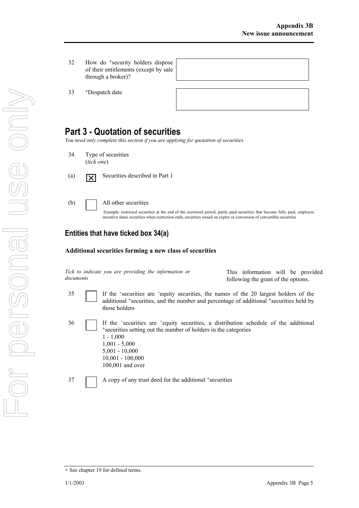32 How do +security holders dispose of their entitlements (except by sale through a broker)?

33 +Despatch date

## **Part 3 - Quotation of securities**

*You need only complete this section if you are applying for quotation of securities* 

- 34 Type of securities (*tick one*)
- (a)  $\boxed{\times}$  Securities described in Part 1
- (b) All other securities

Example: restricted securities at the end of the escrowed period, partly paid securities that become fully paid, employee incentive share securities when restriction ends, securities issued on expiry or conversion of convertible securities

## **Entities that have ticked box 34(a)**

#### **Additional securities forming a new class of securities**

|           |  |  |  | Tick to indicate you are providing the information or |  |
|-----------|--|--|--|-------------------------------------------------------|--|
| documents |  |  |  |                                                       |  |

 This information will be provided following the grant of the options.

35 If the +securities are +equity securities, the names of the 20 largest holders of the additional +securities, and the number and percentage of additional +securities held by those holders

36 If the +securities are +equity securities, a distribution schedule of the additional <sup>+</sup>securities setting out the number of holders in the categories 1 - 1,000 1,001 - 5,000 5,001 - 10,000 10,001 - 100,000 100,001 and over

37 A copy of any trust deed for the additional +securities

<sup>+</sup> See chapter 19 for defined terms.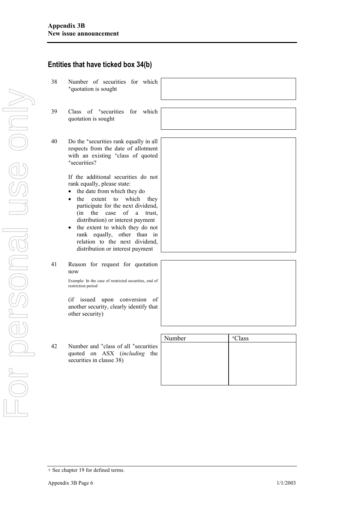|    | Entities that have ticked box 34(b)                                                                                                                                     |        |                    |
|----|-------------------------------------------------------------------------------------------------------------------------------------------------------------------------|--------|--------------------|
| 38 | Number of securities for which<br><sup>+</sup> quotation is sought                                                                                                      |        |                    |
| 39 | Class of <sup>+</sup> securities for<br>which                                                                                                                           |        |                    |
|    | quotation is sought                                                                                                                                                     |        |                    |
| 40 |                                                                                                                                                                         |        |                    |
|    | Do the <sup>+</sup> securities rank equally in all<br>respects from the date of allotment<br>with an existing <sup>+</sup> class of quoted<br><sup>+</sup> securities?  |        |                    |
|    | If the additional securities do not<br>rank equally, please state:                                                                                                      |        |                    |
|    | the date from which they do                                                                                                                                             |        |                    |
|    | the<br>extent<br>which<br>to<br>they<br>$\bullet$<br>participate for the next dividend,<br>of<br>(in<br>the<br>case<br>a<br>trust.<br>distribution) or interest payment |        |                    |
|    | the extent to which they do not<br>$\bullet$<br>rank equally, other than in<br>relation to the next dividend,<br>distribution or interest payment                       |        |                    |
| 41 | Reason for request for quotation<br>now                                                                                                                                 |        |                    |
|    | Example: In the case of restricted securities, end of<br>restriction period                                                                                             |        |                    |
|    | (if issued)<br>upon<br>conversion<br>οf<br>another security, clearly identify that<br>other security)                                                                   |        |                    |
|    |                                                                                                                                                                         |        |                    |
|    |                                                                                                                                                                         | Number | <sup>+</sup> Class |
| 42 | Number and <sup>+</sup> class of all <sup>+</sup> securities<br>quoted on ASX (including the<br>securities in clause 38)                                                |        |                    |
|    |                                                                                                                                                                         |        |                    |